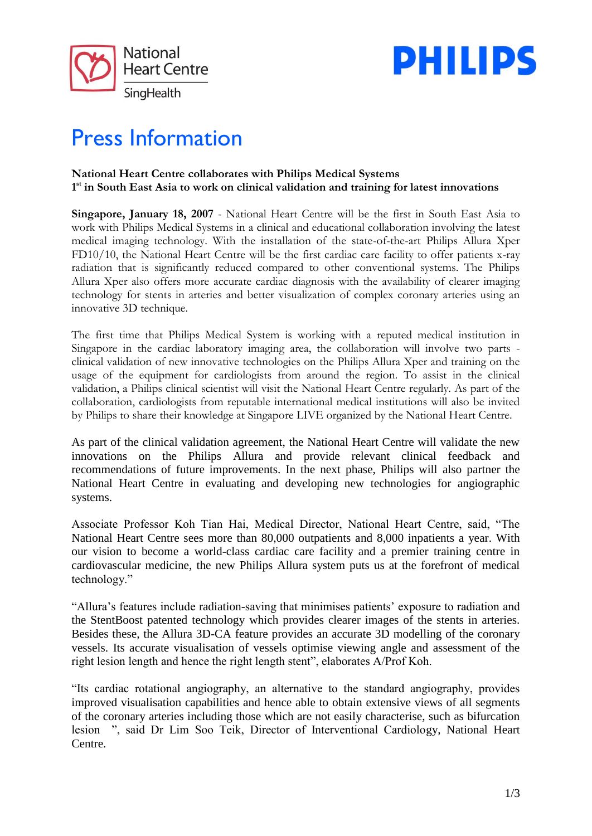



# Press Information

### **National Heart Centre collaborates with Philips Medical Systems**  1<sup>st</sup> in South East Asia to work on clinical validation and training for latest innovations

**Singapore, January 18, 2007** - National Heart Centre will be the first in South East Asia to work with Philips Medical Systems in a clinical and educational collaboration involving the latest medical imaging technology. With the installation of the state-of-the-art Philips Allura Xper FD10/10, the National Heart Centre will be the first cardiac care facility to offer patients x-ray radiation that is significantly reduced compared to other conventional systems. The Philips Allura Xper also offers more accurate cardiac diagnosis with the availability of clearer imaging technology for stents in arteries and better visualization of complex coronary arteries using an innovative 3D technique.

The first time that Philips Medical System is working with a reputed medical institution in Singapore in the cardiac laboratory imaging area, the collaboration will involve two parts clinical validation of new innovative technologies on the Philips Allura Xper and training on the usage of the equipment for cardiologists from around the region. To assist in the clinical validation, a Philips clinical scientist will visit the National Heart Centre regularly. As part of the collaboration, cardiologists from reputable international medical institutions will also be invited by Philips to share their knowledge at Singapore LIVE organized by the National Heart Centre.

As part of the clinical validation agreement, the National Heart Centre will validate the new innovations on the Philips Allura and provide relevant clinical feedback and recommendations of future improvements. In the next phase, Philips will also partner the National Heart Centre in evaluating and developing new technologies for angiographic systems.

Associate Professor Koh Tian Hai, Medical Director, National Heart Centre, said, "The National Heart Centre sees more than 80,000 outpatients and 8,000 inpatients a year. With our vision to become a world-class cardiac care facility and a premier training centre in cardiovascular medicine, the new Philips Allura system puts us at the forefront of medical technology."

"Allura's features include radiation-saving that minimises patients' exposure to radiation and the StentBoost patented technology which provides clearer images of the stents in arteries. Besides these, the Allura 3D-CA feature provides an accurate 3D modelling of the coronary vessels. Its accurate visualisation of vessels optimise viewing angle and assessment of the right lesion length and hence the right length stent", elaborates A/Prof Koh.

"Its cardiac rotational angiography, an alternative to the standard angiography, provides improved visualisation capabilities and hence able to obtain extensive views of all segments of the coronary arteries including those which are not easily characterise, such as bifurcation lesion ", said Dr Lim Soo Teik, Director of Interventional Cardiology, National Heart Centre.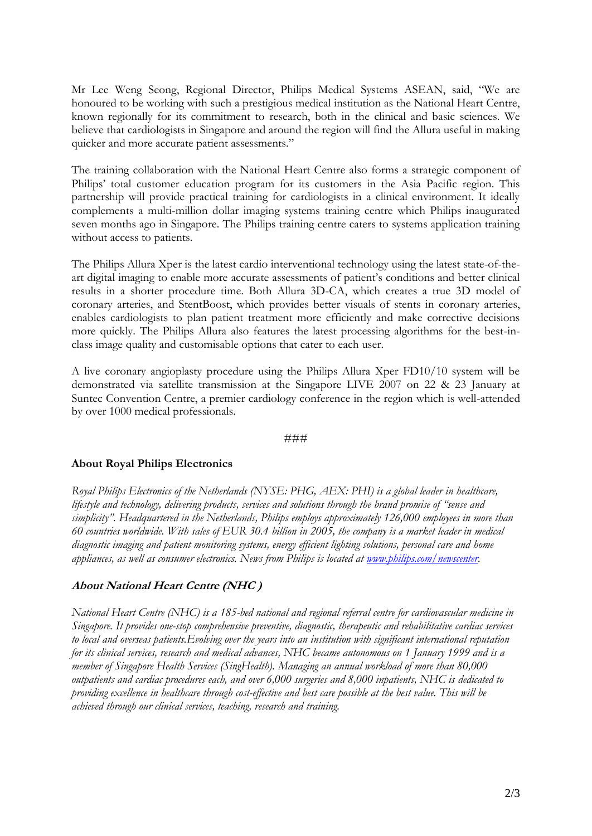Mr Lee Weng Seong, Regional Director, Philips Medical Systems ASEAN, said, "We are honoured to be working with such a prestigious medical institution as the National Heart Centre, known regionally for its commitment to research, both in the clinical and basic sciences. We believe that cardiologists in Singapore and around the region will find the Allura useful in making quicker and more accurate patient assessments."

The training collaboration with the National Heart Centre also forms a strategic component of Philips' total customer education program for its customers in the Asia Pacific region. This partnership will provide practical training for cardiologists in a clinical environment. It ideally complements a multi-million dollar imaging systems training centre which Philips inaugurated seven months ago in Singapore. The Philips training centre caters to systems application training without access to patients.

The Philips Allura Xper is the latest cardio interventional technology using the latest state-of-theart digital imaging to enable more accurate assessments of patient's conditions and better clinical results in a shorter procedure time. Both Allura 3D-CA, which creates a true 3D model of coronary arteries, and StentBoost, which provides better visuals of stents in coronary arteries, enables cardiologists to plan patient treatment more efficiently and make corrective decisions more quickly. The Philips Allura also features the latest processing algorithms for the best-inclass image quality and customisable options that cater to each user.

A live coronary angioplasty procedure using the Philips Allura Xper FD10/10 system will be demonstrated via satellite transmission at the Singapore LIVE 2007 on 22 & 23 January at Suntec Convention Centre, a premier cardiology conference in the region which is well-attended by over 1000 medical professionals.

#### ###

#### **About Royal Philips Electronics**

*Royal Philips Electronics of the Netherlands (NYSE: PHG, AEX: PHI) is a global leader in healthcare, lifestyle and technology, delivering products, services and solutions through the brand promise of "sense and simplicity". Headquartered in the Netherlands, Philips employs approximately 126,000 employees in more than 60 countries worldwide. With sales of EUR 30.4 billion in 2005, the company is a market leader in medical diagnostic imaging and patient monitoring systems, energy efficient lighting solutions, personal care and home appliances, as well as consumer electronics. News from Philips is located at [www.philips.com/newscenter.](http://www.philips.com/newscenter)*

## **About National Heart Centre (NHC )**

*National Heart Centre (NHC) is a 185-bed national and regional referral centre for cardiovascular medicine in Singapore. It provides one-stop comprehensive preventive, diagnostic, therapeutic and rehabilitative cardiac services to local and overseas patients.Evolving over the years into an institution with significant international reputation for its clinical services, research and medical advances, NHC became autonomous on 1 January 1999 and is a member of Singapore Health Services (SingHealth). Managing an annual workload of more than 80,000 outpatients and cardiac procedures each, and over 6,000 surgeries and 8,000 inpatients, NHC is dedicated to providing excellence in healthcare through cost-effective and best care possible at the best value. This will be achieved through our clinical services, teaching, research and training.*